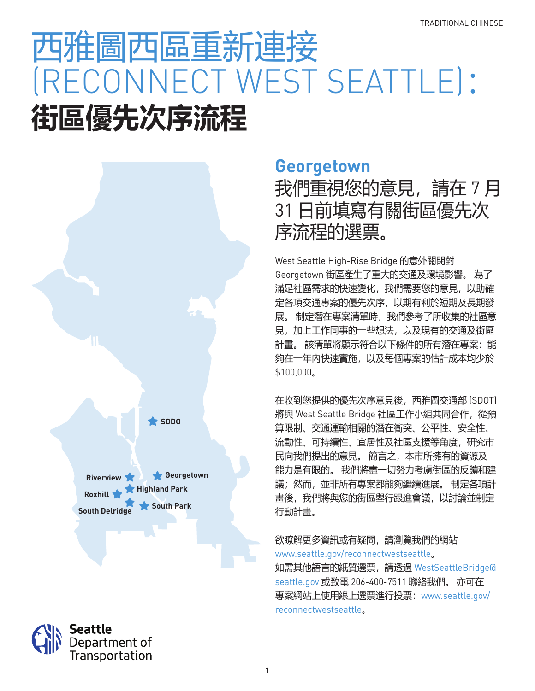# 西雅圖西區重新連接 (RECONNECT WEST SEATTLE): **街區優先次序流程**



Seattle

Department of Transportation

### **Georgetown**

我們重視您的意見,請在 7 月 31 日前填寫有關街區優先次 序流程的選票。

West Seattle High-Rise Bridge 的意外關閉對 Georgetown 街區產生了重大的交通及環境影響。 為了 滿足社區需求的快速變化,我們需要您的意見,以助確 定各項交通專案的優先次序,以期有利於短期及長期發 展。 制定潛在專案清單時,我們參考了所收集的社區意 見,加上工作同事的一些想法,以及現有的交通及街區 計畫。 該清單將顯示符合以下條件的所有潛在專案:能 夠在一年內快速實施,以及每個專案的估計成本均少於 \$100,000。

在收到您提供的優先次序意見後,西雅圖交通部 (SDOT) 將與 West Seattle Bridge 社區工作小組共同合作,從預 算限制、交通運輸相關的潛在衝突、公平性、安全性、 流動性、可持續性、宜居性及社區支援等角度,研究市 民向我們提出的意見。 簡言之,本市所擁有的資源及 能力是有限的。 我們將盡一切努力考慮街區的反饋和建 議;然而,並非所有專案都能夠繼續進展。 制定各項計 畫後,我們將與您的街區舉行跟進會議,以討論並制定 行動計畫。

#### 欲瞭解更多資訊或有疑問,請瀏覽我們的網站 www.seattle.gov/reconnectwestseattle。

如需其他語言的紙質選票,請透過 WestSeattleBridge@ seattle.gov 或致電 206-400-7511 聯絡我們。 亦可在 專案網站上使用線上選票進行投票:www.seattle.gov/ reconnectwestseattle。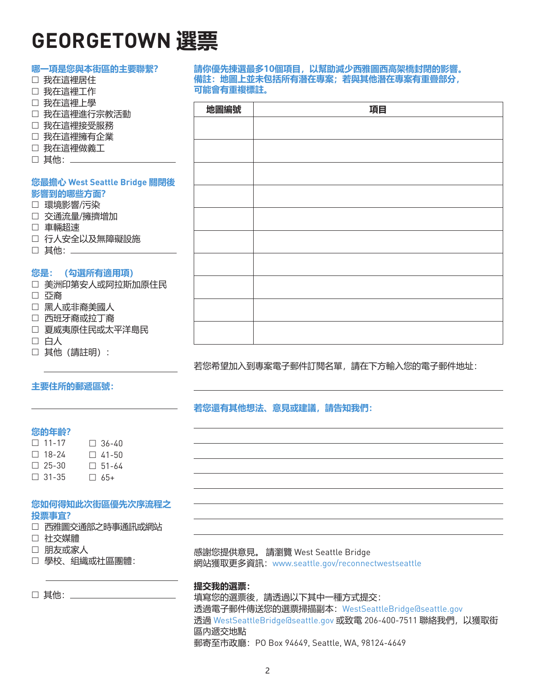## **GEORGETOWN 選票**

| 哪一項是您與本街區的主要聯繫?              |           | 請你優先揀選最多10個項目,以幫助減少西雅圖西高架橋封閉的影響。  |  |
|------------------------------|-----------|-----------------------------------|--|
| □ 我在這裡居住                     |           | 備註:地圖上並未包括所有潛在專案;若與其他潛在專案有重疊部分,   |  |
| □ 我在這裡工作                     | 可能會有重複標註。 |                                   |  |
| □ 我在這裡上學                     |           |                                   |  |
| □ 我在這裡進行宗教活動                 | 地圖編號      | 項目                                |  |
| □ 我在這裡接受服務                   |           |                                   |  |
| □ 我在這裡擁有企業                   |           |                                   |  |
| □ 我在這裡做義工                    |           |                                   |  |
| □ 其他: ______                 |           |                                   |  |
|                              |           |                                   |  |
| 您最擔心 West Seattle Bridge 關閉後 |           |                                   |  |
| 影響到的哪些方面?                    |           |                                   |  |
| □ 環境影響/污染                    |           |                                   |  |
| □ 交通流量/擁擠增加                  |           |                                   |  |
| □ 車輛超速                       |           |                                   |  |
| □ 行人安全以及無障礙設施                |           |                                   |  |
| □ 其他: _________              |           |                                   |  |
|                              |           |                                   |  |
| 您是: (勾選所有適用項)                |           |                                   |  |
| □ 美洲印第安人或阿拉斯加原住民             |           |                                   |  |
| □ 亞裔                         |           |                                   |  |
| □ 黑人或非裔美國人                   |           |                                   |  |
| □ 西班牙裔或拉丁裔                   |           |                                   |  |
| □ 夏威夷原住民或太平洋島民               |           |                                   |  |
| □ 白人                         |           |                                   |  |
| □ 其他 (請註明) :                 |           |                                   |  |
|                              |           |                                   |  |
|                              |           | 若您希望加入到專案電子郵件訂閱名單,請在下方輸入您的電子郵件地址: |  |

#### **主要住所的郵遞區號:**

**若您還有其他想法、意見或建議,請告知我們:**

#### **您的年齡?**

| $\Box$ 11-17 | $\Box$ 36-40 |
|--------------|--------------|
| $\Box$ 18-24 | $\Box$ 41-50 |
| $\Box$ 25-30 | $\Box$ 51-64 |
| $\Box$ 31-35 | $\Box$ 65+   |

#### **您如何得知此次街區優先次序流程之 投票事宜?**

- □ 西雅圖交通部之時事通訊或網站
- □ 社交媒體
- 朋友或家人
- 學校、組織或社區團體:

□ 其他: \_\_\_\_\_\_\_\_

感謝您提供意見。 請瀏覽 West Seattle Bridge 網站獲取更多資訊:www.seattle.gov/reconnectwestseattle

#### **提交我的選票:**

填寫您的選票後,請透過以下其中一種方式提交: 透過電子郵件傳送您的選票掃描副本:WestSeattleBridge@seattle.gov 透過 WestSeattleBridge@seattle.gov 或致電 206-400-7511 聯絡我們,以獲取街 區內遞交地點 郵寄至市政廳:PO Box 94649, Seattle, WA, 98124-4649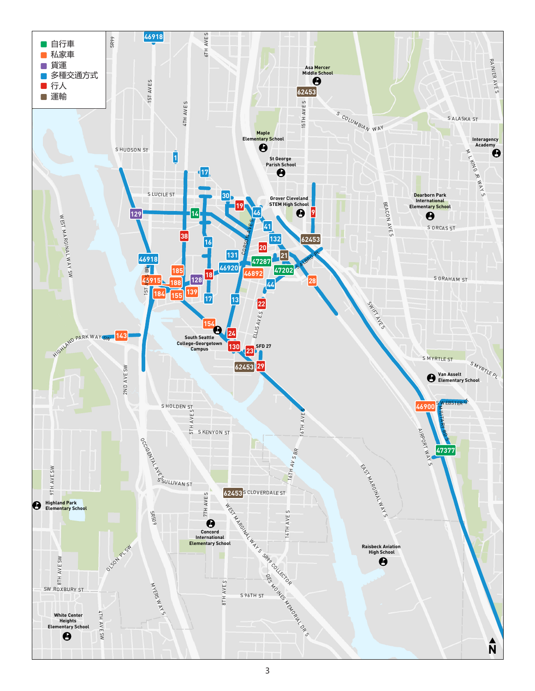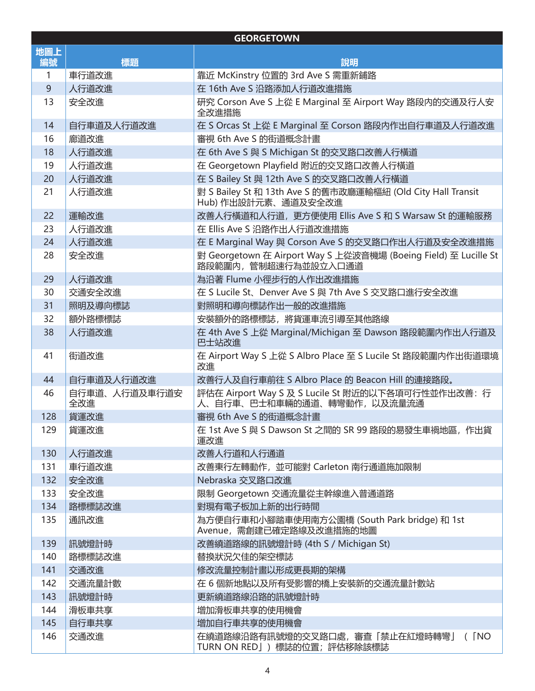| <b>GEORGETOWN</b> |                      |                                                                                         |  |  |
|-------------------|----------------------|-----------------------------------------------------------------------------------------|--|--|
| 地圖上<br>編號         | 標題                   | 說明                                                                                      |  |  |
| 1                 | 車行道改進                | 靠近 McKinstry 位置的 3rd Ave S 需重新鋪路                                                        |  |  |
| 9                 | 人行道改進                | 在 16th Ave S 沿路添加人行道改進措施                                                                |  |  |
| 13                | 安全改進                 | 研究 Corson Ave S 上從 E Marginal 至 Airport Way 路段内的交通及行人安<br>全改進措施                         |  |  |
| 14                | 自行車道及人行道改進           | 在 S Orcas St 上從 E Marginal 至 Corson 路段内作出自行車道及人行道改進                                     |  |  |
| 16                | 廊道改進                 | 審視 6th Ave S 的街道概念計畫                                                                    |  |  |
| 18                | 人行道改進                | 在 6th Ave S 與 S Michigan St 的交叉路口改善人行橫道                                                 |  |  |
| 19                | 人行道改進                | 在 Georgetown Playfield 附近的交叉路口改善人行橫道                                                    |  |  |
| 20                | 人行道改進                | 在 S Bailey St 與 12th Ave S 的交叉路口改善人行橫道                                                  |  |  |
| 21                | 人行道改進                | 對 S Bailey St 和 13th Ave S 的舊市政廳運輸樞紐 (Old City Hall Transit<br>Hub) 作出設計元素、通道及安全改進      |  |  |
| 22                | 運輸改進                 | 改善人行橫道和人行道, 更方便使用 Ellis Ave S 和 S Warsaw St 的運輸服務                                       |  |  |
| 23                | 人行道改進                | 在 Ellis Ave S 沿路作出人行道改進措施                                                               |  |  |
| 24                | 人行道改進                | 在 E Marginal Way 與 Corson Ave S 的交叉路口作出人行道及安全改進措施                                       |  |  |
| 28                | 安全改進                 | 對 Georgetown 在 Airport Way S 上從波音機場 (Boeing Field) 至 Lucille St<br>路段範圍内, 管制超速行為並設立入口通道 |  |  |
| 29                | 人行道改進                | 為沿著 Flume 小徑步行的人作出改進措施                                                                  |  |  |
| 30                | 交通安全改進               | 在 S Lucile St、Denver Ave S 與 7th Ave S 交叉路口進行安全改進                                       |  |  |
| 31                | 照明及導向標誌              | 對照明和導向標誌作出一般的改進措施                                                                       |  |  |
| 32                | 額外路標標誌               | 安裝額外的路標標誌,將貨運車流引導至其他路線                                                                  |  |  |
| 38                | 人行道改進                | 在 4th Ave S 上從 Marginal/Michigan 至 Dawson 路段範圍内作出人行道及<br>巴士站改進                          |  |  |
| 41                | 街道改進                 | 在 Airport Way S 上從 S Albro Place 至 S Lucile St 路段範圍内作出街道環境<br>改進                        |  |  |
| 44                | 自行車道及人行道改進           | 改善行人及自行車前往 S Albro Place 的 Beacon Hill 的連接路段。                                           |  |  |
| 46                | 自行車道、人行道及車行道安<br>全改進 | 評估在 Airport Way S 及 S Lucile St 附近的以下各項可行性並作出改善: 行<br>人、自行車、巴士和車輛的通道、轉彎動作,以及流量流通        |  |  |
| 128               | 貨運改進                 | 審視 6th Ave S 的街道概念計畫                                                                    |  |  |
| 129               | 貨運改進                 | 在 1st Ave S 與 S Dawson St 之間的 SR 99 路段的易發生車禍地區, 作出貨<br>運改進                              |  |  |
| 130               | 人行道改進                | 改善人行道和人行通道                                                                              |  |  |
| 131               | 車行道改進                | 改善東行左轉動作, 並可能對 Carleton 南行通道施加限制                                                        |  |  |
| 132               | 安全改進                 | Nebraska 交叉路口改進                                                                         |  |  |
| 133               | 安全改進                 | 限制 Georgetown 交通流量從主幹線進入普通道路                                                            |  |  |
| 134               | 路標標誌改進               | 對現有電子板加上新的出行時間                                                                          |  |  |
| 135               | 通訊改進                 | 為方便自行車和小腳踏車使用南方公園橋 (South Park bridge) 和 1st<br>Avenue, 需創建已確定路線及改進措施的地圖                |  |  |
| 139               | 訊號燈計時                | 改善繞道路線的訊號燈計時 (4th S / Michigan St)                                                      |  |  |
| 140               | 路標標誌改進               | 替換狀況欠佳的架空標誌                                                                             |  |  |
| 141               | 交通改進                 | 修改流量控制計畫以形成更長期的架構                                                                       |  |  |
| 142               | 交通流量計數               | 在 6 個新地點以及所有受影響的橋上安裝新的交通流量計數站                                                           |  |  |
| 143               | 訊號燈計時                | 更新繞道路線沿路的訊號燈計時                                                                          |  |  |
| 144               | 滑板車共享                | 增加滑板車共享的使用機會                                                                            |  |  |
| 145               | 自行車共享                | 增加自行車共享的使用機會                                                                            |  |  |
| 146               | 交通改進                 | 在繞道路線沿路有訊號燈的交叉路口處,審查「禁止在紅燈時轉彎」<br>$($ $\sqrt{NQ}$<br>TURN ON RED」)標誌的位置;評估移除該標誌         |  |  |